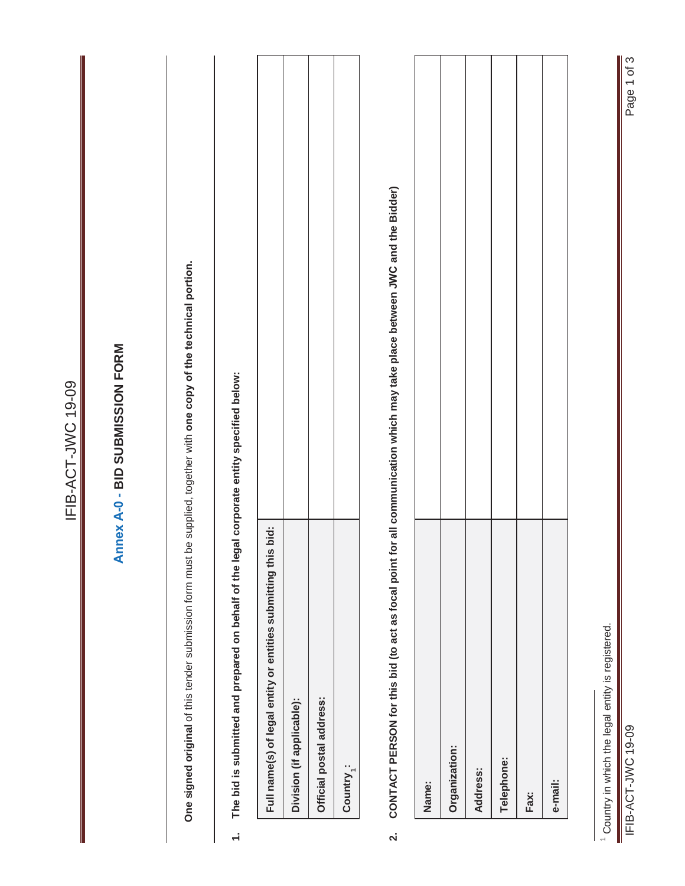|                         |                                                                                                                       | IFIB-ACT-JWC 19-09                                                                                                        |
|-------------------------|-----------------------------------------------------------------------------------------------------------------------|---------------------------------------------------------------------------------------------------------------------------|
|                         |                                                                                                                       | Annex A-0 - BID SUBMISSION FORM                                                                                           |
|                         | One signed original of this tender submission form must be supplied, together with one copy of the technical portion. |                                                                                                                           |
| $\div$                  | The bid is submitted and prepared on behalf of the legal corporate entity specified below:                            |                                                                                                                           |
|                         | bid:<br>Full name(s) of legal entity or entities submitting this                                                      |                                                                                                                           |
|                         | Division (if applicable):                                                                                             |                                                                                                                           |
|                         | Official postal address:                                                                                              |                                                                                                                           |
|                         | Country <sub>1</sub> :                                                                                                |                                                                                                                           |
| $\overline{\mathbf{v}}$ |                                                                                                                       | CONTACT PERSON for this bid (to act as focal point for all communication which may take place between JWC and the Bidder) |
|                         | Name:                                                                                                                 |                                                                                                                           |
|                         | Organization:                                                                                                         |                                                                                                                           |
|                         | Address:                                                                                                              |                                                                                                                           |
|                         | Telephone:                                                                                                            |                                                                                                                           |
|                         | Fax:                                                                                                                  |                                                                                                                           |
|                         | e-mail:                                                                                                               |                                                                                                                           |
|                         | <sup>1</sup> Country in which the legal entity is registered.                                                         |                                                                                                                           |
| Ш                       | IFIB-ACT-JWC 19-09                                                                                                    | Page 1 of 3                                                                                                               |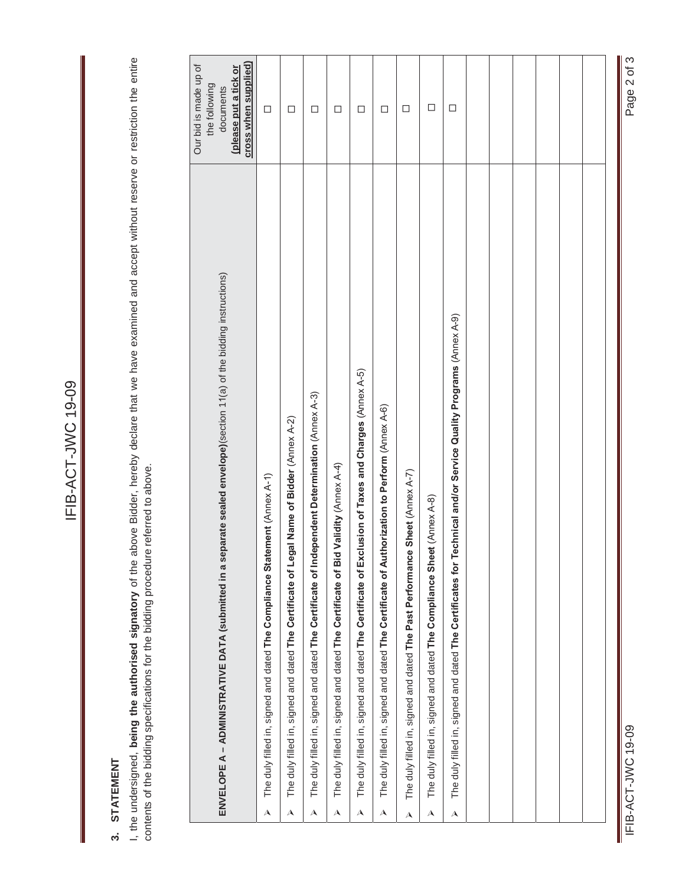# 3. STATEMENT **3. STATEMENT**

I, the undersigned, being the authorised signatory of the above Bidder, hereby declare that we have examined and accept without reserve or restriction the entire<br>contents of the bidding specifications for the bidding proce I, the undersigned, **being the authorised signatory** of the above Bidder, hereby declare that we have examined and accept without reserve or restriction the entire contents of the bidding specifications for the bidding procedure referred to above.

|                           | ENVELOPE A – ADMINISTRATIVE DATA (submitted in a separate sealed envelope)(section 11(a) of the bidding instructions) | cross when supplied)<br>Our bid is made up of<br>(please put a tick or<br>the following<br>documents |  |
|---------------------------|-----------------------------------------------------------------------------------------------------------------------|------------------------------------------------------------------------------------------------------|--|
| $\blacktriangle$          | ement (Annex A-1)<br>The duly filled in, signed and dated The Compliance Stat                                         | $\Box$                                                                                               |  |
| A                         | jal Name of Bidder (Annex A-2)<br>The duly filled in, signed and dated The Certificate of Leg                         | $\Box$                                                                                               |  |
| A                         | The duly filled in, signed and dated The Certificate of Independent Determination (Annex A-3)                         | $\Box$                                                                                               |  |
| A                         | Validity (Annex A-4)<br>The duly filled in, signed and dated The Certificate of Bid                                   | $\Box$                                                                                               |  |
| A                         | The duly filled in, signed and dated The Certificate of Exclusion of Taxes and Charges (Annex A-5)                    | $\Box$                                                                                               |  |
| $\boldsymbol{\mathsf{A}}$ | The duly filled in, signed and dated The Certificate of Authorization to Perform (Annex A-6)                          | □                                                                                                    |  |
| $\blacktriangle$          | The duly filled in, signed and dated The Past Performance Sheet (Annex A-7)                                           | □                                                                                                    |  |
| $\boldsymbol{\lambda}$    | The duly filled in, signed and dated The Compliance Sheet (Annex A-8)                                                 | $\Box$                                                                                               |  |
| $\boldsymbol{\lambda}$    | The duly filled in, signed and dated The Certificates for Technical and/or Service Quality Programs (Annex A-9)       | □                                                                                                    |  |
|                           |                                                                                                                       |                                                                                                      |  |
|                           |                                                                                                                       |                                                                                                      |  |
|                           |                                                                                                                       |                                                                                                      |  |
|                           |                                                                                                                       |                                                                                                      |  |
|                           |                                                                                                                       |                                                                                                      |  |
|                           |                                                                                                                       |                                                                                                      |  |
|                           |                                                                                                                       |                                                                                                      |  |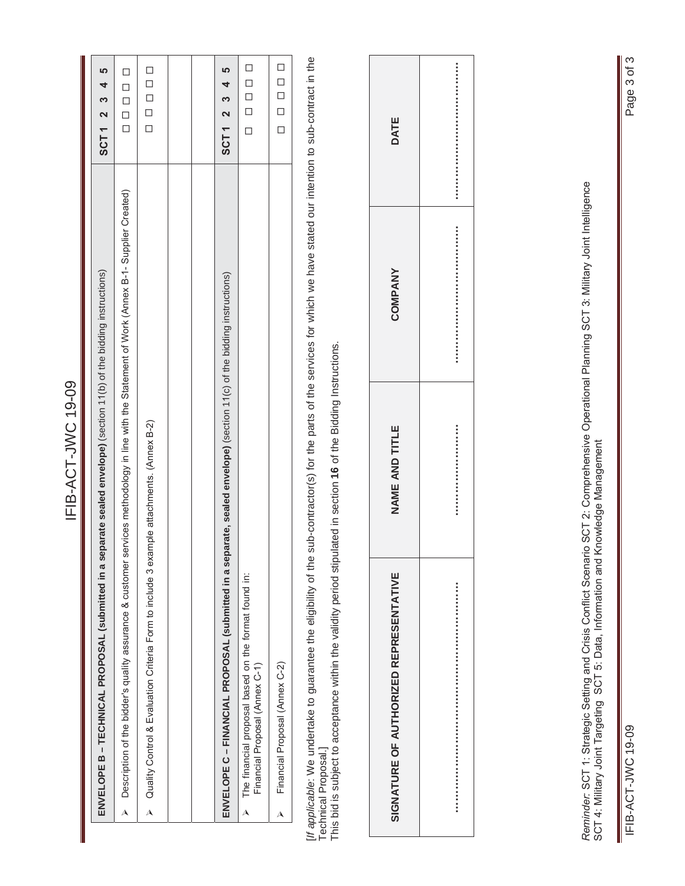| č<br>יַ<br>$\mathbf \zeta$<br>ı<br>۰ |  |
|--------------------------------------|--|
|                                      |  |
| ó                                    |  |
|                                      |  |
|                                      |  |
|                                      |  |

| ENVELOPE B – TECHNICAL PROPOSAL (submitted in a separate sealed envelope) (section 11(b) of the bidding instructions)                           | SCT1 2 3 4 5 |
|-------------------------------------------------------------------------------------------------------------------------------------------------|--------------|
| > Description of the bidder's quality assurance & customer services methodology in line with the Statement of Work (Annex B-1-Supplier Created) | 000000       |
| $\triangleright$ Quality Control & Evaluation Criteria Form to include 3 example attachments. (Annex B-2)                                       | 00000        |
|                                                                                                                                                 |              |
|                                                                                                                                                 |              |
| ENVELOPE C – FINANCIAL PROPOSAL (submitted in a separate, sealed envelope) (section 11(c) of the bidding instructions)                          | SCT1 2 3 4 5 |
| The financial proposal based on the format found in:<br>Financial Proposal (Annex C-1)                                                          | 000000       |
| Financial Proposal (Annex C-2)<br>Д                                                                                                             | 00000        |
|                                                                                                                                                 |              |

[If applicable: We undertake to guarantee the eligibility of the sub-contractor(s) for the parts of the services for which we have stated our intention to sub-contract in the [*If applicable*: We undertake to guarantee the eligibility of the sub-contractor(s) for the parts of the services for which we have stated our intention to sub-contract in the Technical Proposal.]<br>This bid is subject to acceptance within the validity period stipulated in section **16** of the Bidding Instructions. This bid is subject to acceptance within the validity period stipulated in section **16** of the Bidding Instructions. Technical Proposal.]

| SIGNATURE OF AUTHORIZED REPRESENTATIVE | NAME AND TITLE | <b>COMPANY</b> | DATE |
|----------------------------------------|----------------|----------------|------|
|                                        |                |                |      |

Reminder: SCT 1: Strategic Setting and Crisis Conflict Scenario SCT 2: Comprehensive Operational Planning SCT 3: Military Joint Intelligence<br>SCT 4: Military Joint Targeting SCT 5: Data, Information and Knowledge Management Reminder: SCT 1: Strategic Setting Planning Planning Detail operations Comprehensive Conflict Scenario Scenario Scenario Scenario Scenario Scenario Scenario Scenario Scenario Scenario Scenario Scenario Scenario Date in Sce SCT 4: Military Joint Targeting SCT 5: Data, Information and Knowledge Management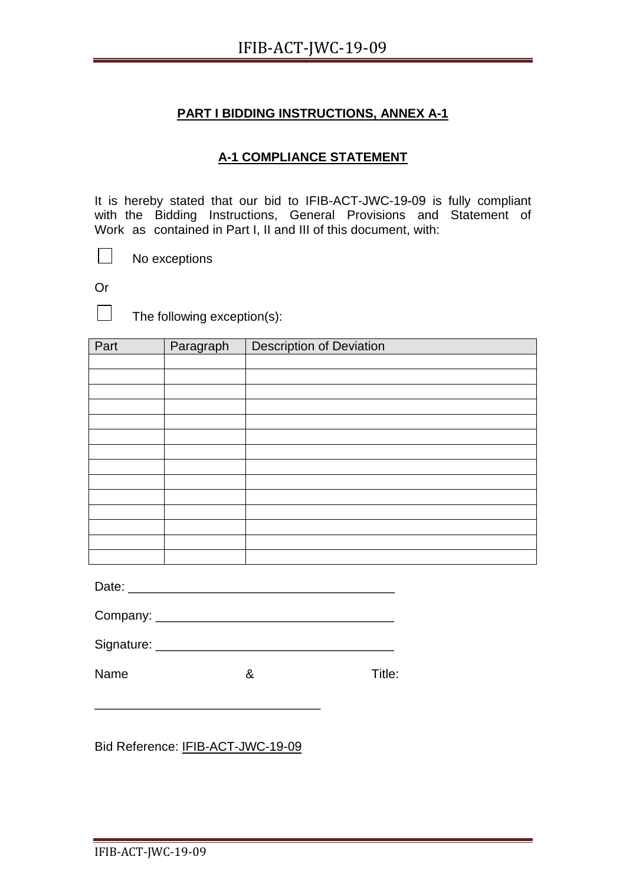#### **A-1 COMPLIANCE STATEMENT**

It is hereby stated that our bid to IFIB-ACT-JWC-19-09 is fully compliant with the Bidding Instructions, General Provisions and Statement of Work as contained in Part I, II and III of this document, with:

No exceptions

Or

 $\Box$ 

 $\Box$ 

The following exception(s):

| Part | Paragraph | <b>Description of Deviation</b> |
|------|-----------|---------------------------------|
|      |           |                                 |
|      |           |                                 |
|      |           |                                 |
|      |           |                                 |
|      |           |                                 |
|      |           |                                 |
|      |           |                                 |
|      |           |                                 |
|      |           |                                 |
|      |           |                                 |
|      |           |                                 |
|      |           |                                 |
|      |           |                                 |
|      |           |                                 |

Date: \_\_\_\_\_\_\_\_\_\_\_\_\_\_\_\_\_\_\_\_\_\_\_\_\_\_\_\_\_\_\_\_\_\_\_\_\_\_

| Company: |  |  |
|----------|--|--|
|          |  |  |

| Signature: |  |  |  |
|------------|--|--|--|
|            |  |  |  |

Name 8 8 Title:

Bid Reference: IFIB-ACT-JWC-19-09

\_\_\_\_\_\_\_\_\_\_\_\_\_\_\_\_\_\_\_\_\_\_\_\_\_\_\_\_\_\_\_\_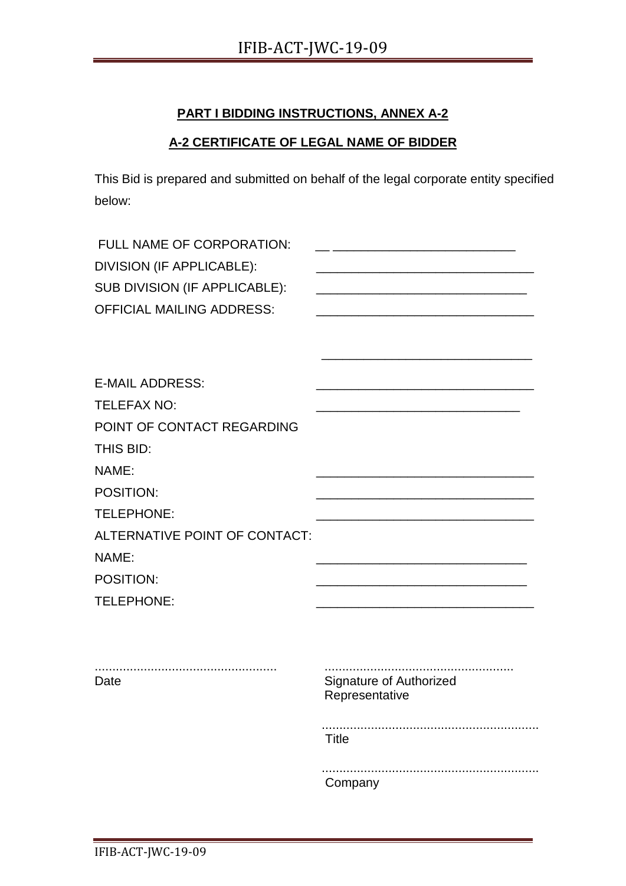#### **A-2 CERTIFICATE OF LEGAL NAME OF BIDDER**

This Bid is prepared and submitted on behalf of the legal corporate entity specified below:

| FULL NAME OF CORPORATION:<br>DIVISION (IF APPLICABLE):<br>SUB DIVISION (IF APPLICABLE): |                                                  |
|-----------------------------------------------------------------------------------------|--------------------------------------------------|
| <b>OFFICIAL MAILING ADDRESS:</b>                                                        |                                                  |
|                                                                                         |                                                  |
| <b>E-MAIL ADDRESS:</b>                                                                  |                                                  |
| <b>TELEFAX NO:</b>                                                                      |                                                  |
| POINT OF CONTACT REGARDING                                                              |                                                  |
| THIS BID:                                                                               |                                                  |
| NAME:                                                                                   |                                                  |
| POSITION:                                                                               |                                                  |
| TELEPHONE:                                                                              |                                                  |
| ALTERNATIVE POINT OF CONTACT:                                                           |                                                  |
| NAME:                                                                                   |                                                  |
| POSITION:                                                                               |                                                  |
| TELEPHONE:                                                                              |                                                  |
|                                                                                         |                                                  |
| Date                                                                                    | <b>Signature of Authorized</b><br>Representative |
|                                                                                         | <b>Title</b>                                     |
|                                                                                         | Company                                          |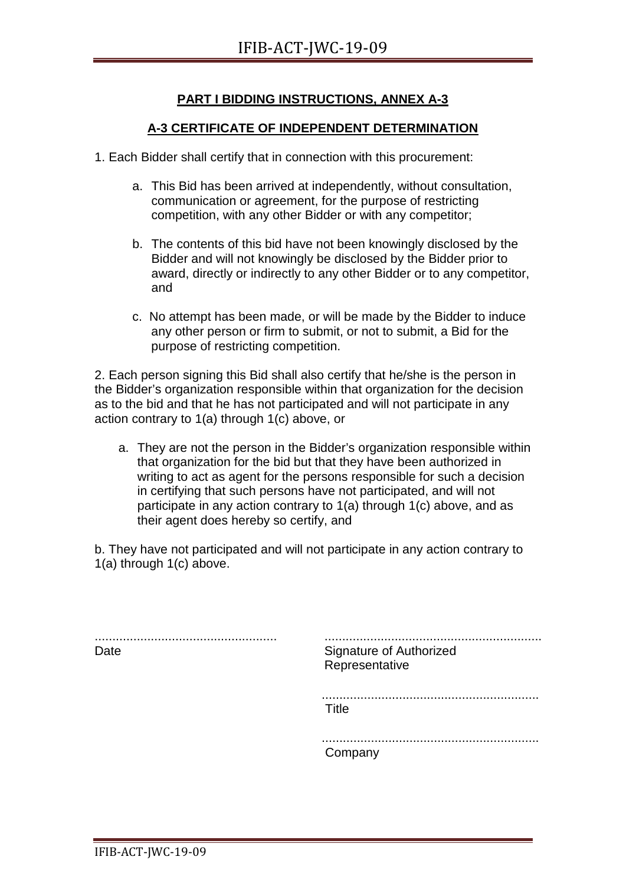#### **A-3 CERTIFICATE OF INDEPENDENT DETERMINATION**

- 1. Each Bidder shall certify that in connection with this procurement:
	- a. This Bid has been arrived at independently, without consultation, communication or agreement, for the purpose of restricting competition, with any other Bidder or with any competitor;
	- b. The contents of this bid have not been knowingly disclosed by the Bidder and will not knowingly be disclosed by the Bidder prior to award, directly or indirectly to any other Bidder or to any competitor, and
	- c. No attempt has been made, or will be made by the Bidder to induce any other person or firm to submit, or not to submit, a Bid for the purpose of restricting competition.

2. Each person signing this Bid shall also certify that he/she is the person in the Bidder's organization responsible within that organization for the decision as to the bid and that he has not participated and will not participate in any action contrary to 1(a) through 1(c) above, or

a. They are not the person in the Bidder's organization responsible within that organization for the bid but that they have been authorized in writing to act as agent for the persons responsible for such a decision in certifying that such persons have not participated, and will not participate in any action contrary to 1(a) through 1(c) above, and as their agent does hereby so certify, and

b. They have not participated and will not participate in any action contrary to 1(a) through 1(c) above.

.................................................... Date .............................................................. Signature of Authorized Representative .............................................................. Title .............................................................. Company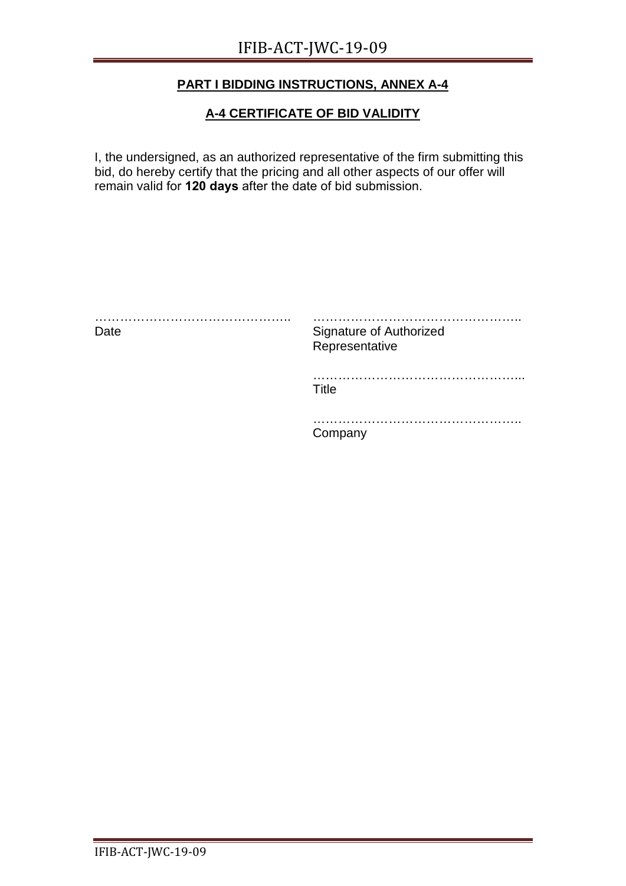#### **A-4 CERTIFICATE OF BID VALIDITY**

I, the undersigned, as an authorized representative of the firm submitting this bid, do hereby certify that the pricing and all other aspects of our offer will remain valid for **120 days** after the date of bid submission.

| .<br>Date | Signature of Authorized<br>Representative |
|-----------|-------------------------------------------|
|           | Title                                     |
|           | ompany                                    |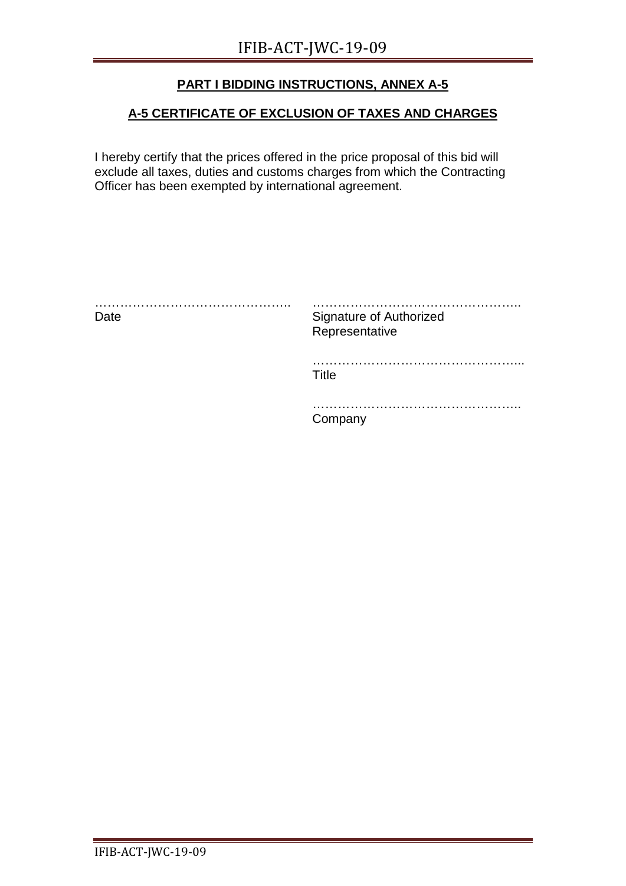#### **A-5 CERTIFICATE OF EXCLUSION OF TAXES AND CHARGES**

I hereby certify that the prices offered in the price proposal of this bid will exclude all taxes, duties and customs charges from which the Contracting Officer has been exempted by international agreement.

| Date | Signature of Authorized<br>Representative |
|------|-------------------------------------------|
|      | .<br>Title                                |
|      | Company                                   |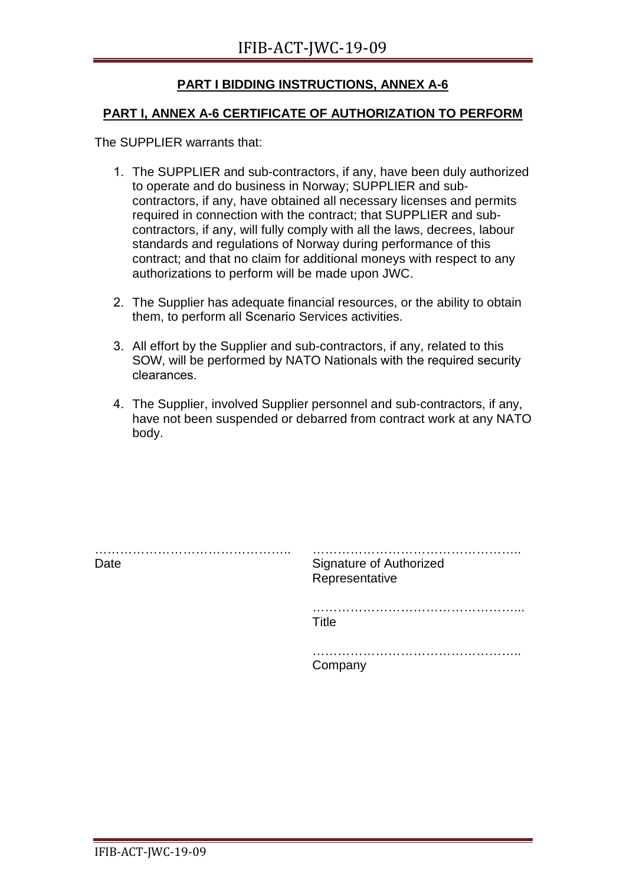#### **PART I, ANNEX A-6 CERTIFICATE OF AUTHORIZATION TO PERFORM**

The SUPPLIER warrants that:

- 1. The SUPPLIER and sub-contractors, if any, have been duly authorized to operate and do business in Norway; SUPPLIER and subcontractors, if any, have obtained all necessary licenses and permits required in connection with the contract; that SUPPLIER and subcontractors, if any, will fully comply with all the laws, decrees, labour standards and regulations of Norway during performance of this contract; and that no claim for additional moneys with respect to any authorizations to perform will be made upon JWC.
- 2. The Supplier has adequate financial resources, or the ability to obtain them, to perform all Scenario Services activities.
- 3. All effort by the Supplier and sub-contractors, if any, related to this SOW, will be performed by NATO Nationals with the required security clearances.
- 4. The Supplier, involved Supplier personnel and sub-contractors, if any, have not been suspended or debarred from contract work at any NATO body.

| Date | <b>Signature of Authorized</b><br>Representative |
|------|--------------------------------------------------|
|      | .<br>Title                                       |
|      | Company                                          |
|      |                                                  |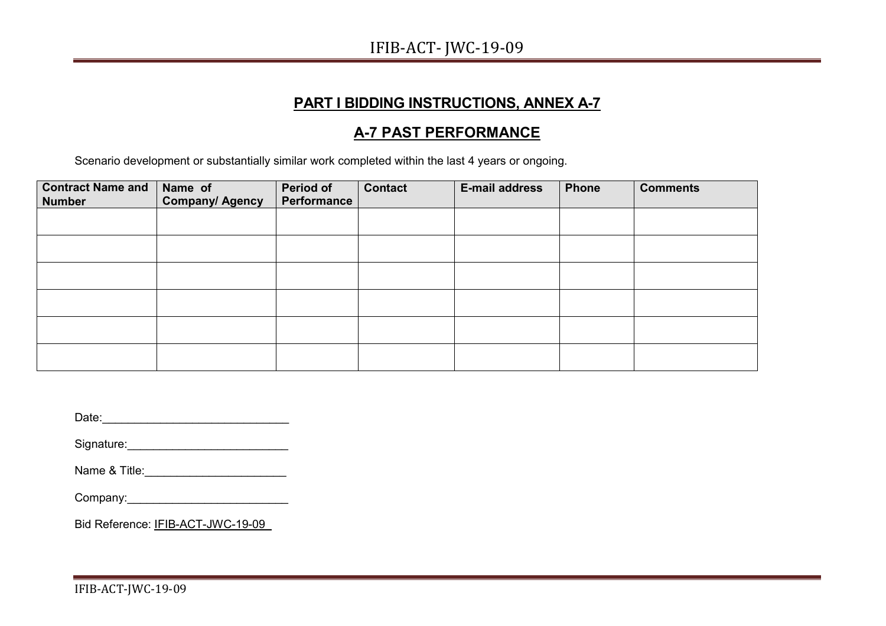## IFIB-ACT- JWC-19-09

# **PART I BIDDING INSTRUCTIONS, ANNEX A-7**

## **A-7 PAST PERFORMANCE**

Scenario development or substantially similar work completed within the last 4 years or ongoing.

| <b>Contract Name and</b><br><b>Number</b> | Name of<br><b>Company/ Agency</b> | <b>Period of</b><br><b>Performance</b> | <b>Contact</b> | <b>E-mail address</b> | <b>Phone</b> | <b>Comments</b> |
|-------------------------------------------|-----------------------------------|----------------------------------------|----------------|-----------------------|--------------|-----------------|
|                                           |                                   |                                        |                |                       |              |                 |
|                                           |                                   |                                        |                |                       |              |                 |
|                                           |                                   |                                        |                |                       |              |                 |
|                                           |                                   |                                        |                |                       |              |                 |
|                                           |                                   |                                        |                |                       |              |                 |
|                                           |                                   |                                        |                |                       |              |                 |

| Date:<br>the control of the control of the control of the control of |
|----------------------------------------------------------------------|
| Signature:                                                           |
| Name & Title:                                                        |
|                                                                      |
| Bid Reference: IFIB-ACT-JWC-19-09                                    |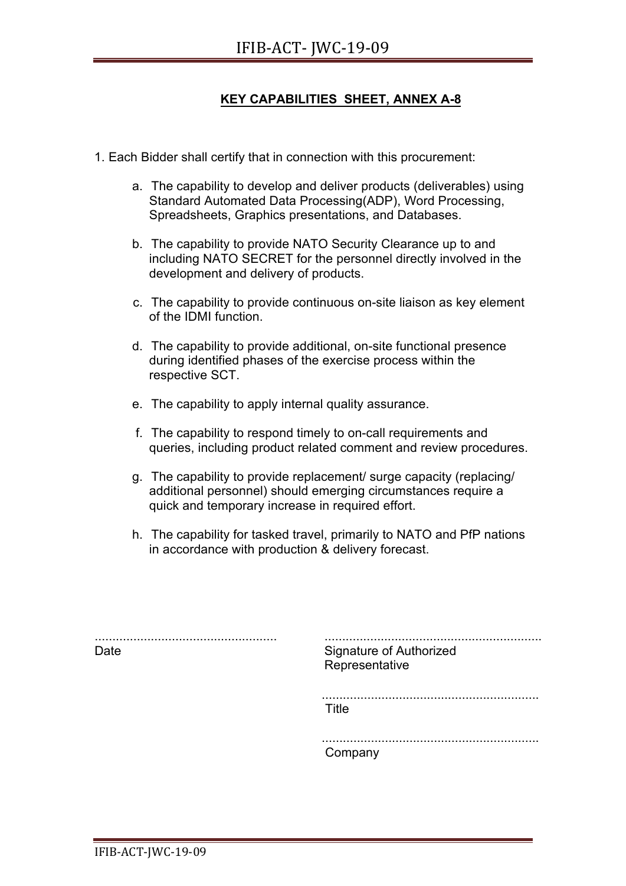#### **KEY CAPABILITIES SHEET, ANNEX A-8**

- 1. Each Bidder shall certify that in connection with this procurement:
	- a. The capability to develop and deliver products (deliverables) using Standard Automated Data Processing(ADP), Word Processing, Spreadsheets, Graphics presentations, and Databases.
	- b. The capability to provide NATO Security Clearance up to and including NATO SECRET for the personnel directly involved in the development and delivery of products.
	- c. The capability to provide continuous on-site liaison as key element of the IDMI function.
	- d. The capability to provide additional, on-site functional presence during identified phases of the exercise process within the respective SCT.
	- e. The capability to apply internal quality assurance.
	- f. The capability to respond timely to on-call requirements and queries, including product related comment and review procedures.
	- g. The capability to provide replacement/ surge capacity (replacing/ additional personnel) should emerging circumstances require a quick and temporary increase in required effort.
	- h. The capability for tasked travel, primarily to NATO and PfP nations in accordance with production & delivery forecast.

.................................................... Date .............................................................. Signature of Authorized Representative .............................................................. Title

.............................................................. Company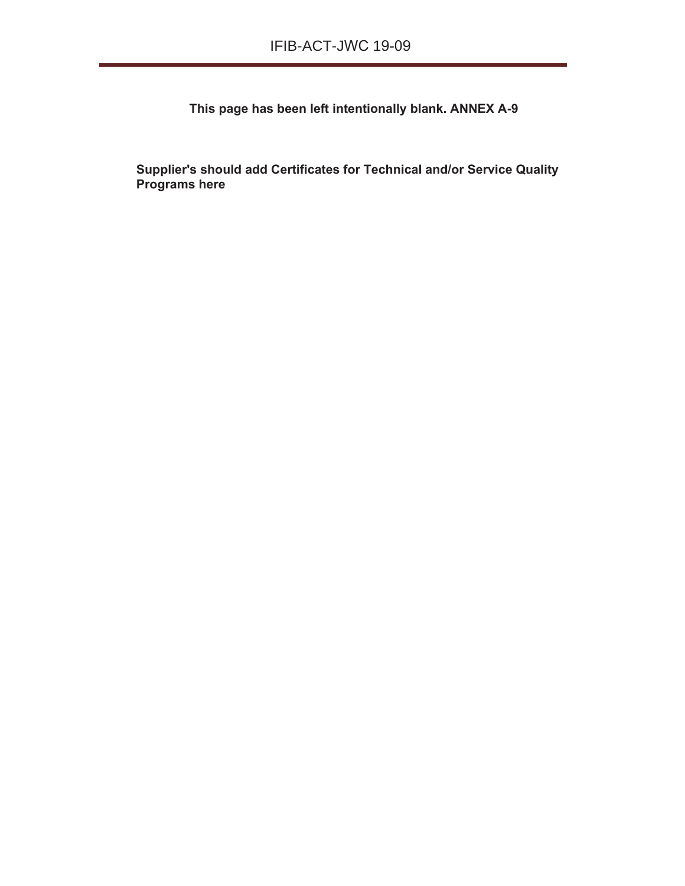**This page has been left intentionally blank. ANNEX A-9**

**Supplier's should add Certificates for Technical and/or Service Quality Programs here**